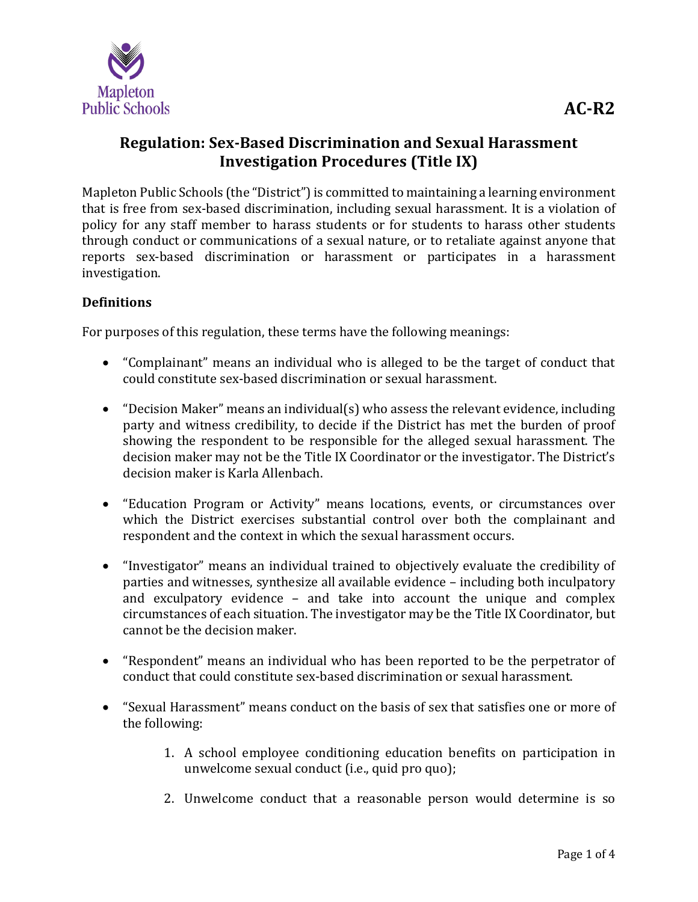

# **Regulation: Sex-Based Discrimination and Sexual Harassment Investigation Procedures (Title IX)**

Mapleton Public Schools (the "District") is committed to maintaining a learning environment that is free from sex-based discrimination, including sexual harassment. It is a violation of policy for any staff member to harass students or for students to harass other students through conduct or communications of a sexual nature, or to retaliate against anyone that reports sex-based discrimination or harassment or participates in a harassment investigation.

### **Definitions**

For purposes of this regulation, these terms have the following meanings:

- "Complainant" means an individual who is alleged to be the target of conduct that could constitute sex-based discrimination or sexual harassment.
- "Decision Maker" means an individual(s) who assess the relevant evidence, including party and witness credibility, to decide if the District has met the burden of proof showing the respondent to be responsible for the alleged sexual harassment. The decision maker may not be the Title IX Coordinator or the investigator. The District's decision maker is Karla Allenbach.
- "Education Program or Activity" means locations, events, or circumstances over which the District exercises substantial control over both the complainant and respondent and the context in which the sexual harassment occurs.
- "Investigator" means an individual trained to objectively evaluate the credibility of parties and witnesses, synthesize all available evidence – including both inculpatory and exculpatory evidence – and take into account the unique and complex circumstances of each situation. The investigator may be the Title IX Coordinator, but cannot be the decision maker.
- "Respondent" means an individual who has been reported to be the perpetrator of conduct that could constitute sex-based discrimination or sexual harassment.
- "Sexual Harassment" means conduct on the basis of sex that satisfies one or more of the following:
	- 1. A school employee conditioning education benefits on participation in unwelcome sexual conduct (i.e., quid pro quo);
	- 2. Unwelcome conduct that a reasonable person would determine is so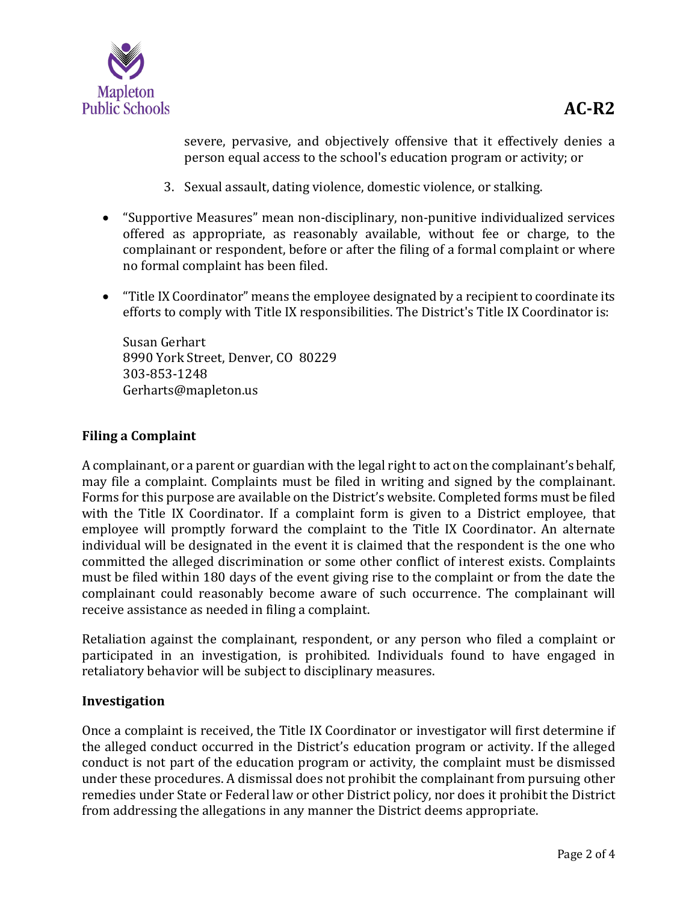

severe, pervasive, and objectively offensive that it effectively denies a person equal access to the school's education program or activity; or

- 3. Sexual assault, dating violence, domestic violence, or stalking.
- "Supportive Measures" mean non-disciplinary, non-punitive individualized services offered as appropriate, as reasonably available, without fee or charge, to the complainant or respondent, before or after the filing of a formal complaint or where no formal complaint has been filed.
- "Title IX Coordinator" means the employee designated by a recipient to coordinate its efforts to comply with Title IX responsibilities. The District's Title IX Coordinator is:

Susan Gerhart 8990 York Street, Denver, CO 80229 303-853-1248 Gerharts@mapleton.us

### **Filing a Complaint**

A complainant, or a parent or guardian with the legal right to act on the complainant's behalf, may file a complaint. Complaints must be filed in writing and signed by the complainant. Forms for this purpose are available on the District's website. Completed forms must be filed with the Title IX Coordinator. If a complaint form is given to a District employee, that employee will promptly forward the complaint to the Title IX Coordinator. An alternate individual will be designated in the event it is claimed that the respondent is the one who committed the alleged discrimination or some other conflict of interest exists. Complaints must be filed within 180 days of the event giving rise to the complaint or from the date the complainant could reasonably become aware of such occurrence. The complainant will receive assistance as needed in filing a complaint.

Retaliation against the complainant, respondent, or any person who filed a complaint or participated in an investigation, is prohibited. Individuals found to have engaged in retaliatory behavior will be subject to disciplinary measures.

#### **Investigation**

Once a complaint is received, the Title IX Coordinator or investigator will first determine if the alleged conduct occurred in the District's education program or activity. If the alleged conduct is not part of the education program or activity, the complaint must be dismissed under these procedures. A dismissal does not prohibit the complainant from pursuing other remedies under State or Federal law or other District policy, nor does it prohibit the District from addressing the allegations in any manner the District deems appropriate.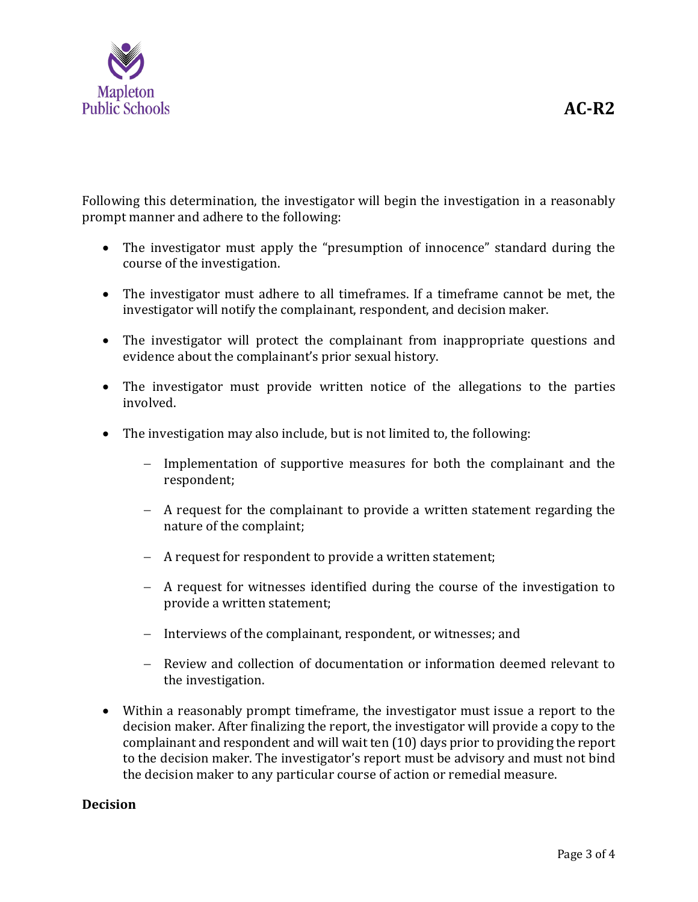

Following this determination, the investigator will begin the investigation in a reasonably prompt manner and adhere to the following:

- The investigator must apply the "presumption of innocence" standard during the course of the investigation.
- The investigator must adhere to all timeframes. If a timeframe cannot be met, the investigator will notify the complainant, respondent, and decision maker.
- The investigator will protect the complainant from inappropriate questions and evidence about the complainant's prior sexual history.
- The investigator must provide written notice of the allegations to the parties involved.
- The investigation may also include, but is not limited to, the following:
	- − Implementation of supportive measures for both the complainant and the respondent;
	- − A request for the complainant to provide a written statement regarding the nature of the complaint;
	- − A request for respondent to provide a written statement;
	- − A request for witnesses identified during the course of the investigation to provide a written statement;
	- − Interviews of the complainant, respondent, or witnesses; and
	- − Review and collection of documentation or information deemed relevant to the investigation.
- Within a reasonably prompt timeframe, the investigator must issue a report to the decision maker. After finalizing the report, the investigator will provide a copy to the complainant and respondent and will wait ten (10) days prior to providing the report to the decision maker. The investigator's report must be advisory and must not bind the decision maker to any particular course of action or remedial measure.

### **Decision**